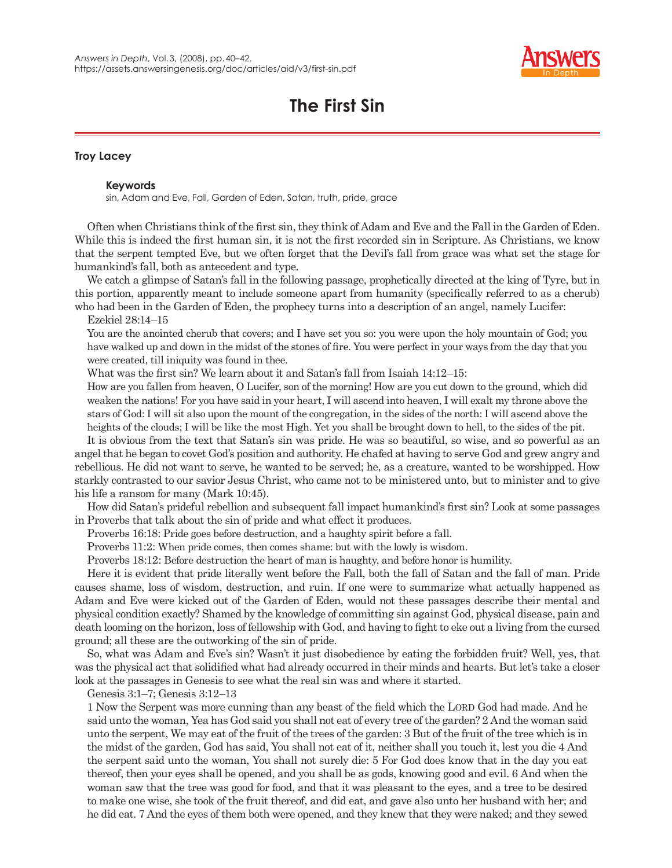

## **The First Sin**

## **Troy Lacey**

## **Keywords**

sin, Adam and Eve, Fall, Garden of Eden, Satan, truth, pride, grace

Often when Christians think of the first sin, they think of Adam and Eve and the Fall in the Garden of Eden. While this is indeed the first human sin, it is not the first recorded sin in Scripture. As Christians, we know that the serpent tempted Eve, but we often forget that the Devil's fall from grace was what set the stage for humankind's fall, both as antecedent and type.

We catch a glimpse of Satan's fall in the following passage, prophetically directed at the king of Tyre, but in this portion, apparently meant to include someone apart from humanity (specifically referred to as a cherub) who had been in the Garden of Eden, the prophecy turns into a description of an angel, namely Lucifer:

## Ezekiel 28:14–15

You are the anointed cherub that covers; and I have set you so: you were upon the holy mountain of God; you have walked up and down in the midst of the stones of fire. You were perfect in your ways from the day that you were created, till iniquity was found in thee.

What was the first sin? We learn about it and Satan's fall from Isaiah 14:12-15:

How are you fallen from heaven, O Lucifer, son of the morning! How are you cut down to the ground, which did weaken the nations! For you have said in your heart, I will ascend into heaven, I will exalt my throne above the stars of God: I will sit also upon the mount of the congregation, in the sides of the north: I will ascend above the heights of the clouds; I will be like the most High. Yet you shall be brought down to hell, to the sides of the pit.

It is obvious from the text that Satan's sin was pride. He was so beautiful, so wise, and so powerful as an angel that he began to covet God's position and authority. He chafed at having to serve God and grew angry and rebellious. He did not want to serve, he wanted to be served; he, as a creature, wanted to be worshipped. How starkly contrasted to our savior Jesus Christ, who came not to be ministered unto, but to minister and to give his life a ransom for many (Mark 10:45).

How did Satan's prideful rebellion and subsequent fall impact humankind's first sin? Look at some passages in Proverbs that talk about the sin of pride and what effect it produces.

Proverbs 16:18: Pride goes before destruction, and a haughty spirit before a fall.

Proverbs 11:2: When pride comes, then comes shame: but with the lowly is wisdom.

Proverbs 18:12: Before destruction the heart of man is haughty, and before honor is humility.

Here it is evident that pride literally went before the Fall, both the fall of Satan and the fall of man. Pride causes shame, loss of wisdom, destruction, and ruin. If one were to summarize what actually happened as Adam and Eve were kicked out of the Garden of Eden, would not these passages describe their mental and physical condition exactly? Shamed by the knowledge of committing sin against God, physical disease, pain and death looming on the horizon, loss of fellowship with God, and having to fight to eke out a living from the cursed ground; all these are the outworking of the sin of pride.

So, what was Adam and Eve's sin? Wasn't it just disobedience by eating the forbidden fruit? Well, yes, that was the physical act that solidified what had already occurred in their minds and hearts. But let's take a closer look at the passages in Genesis to see what the real sin was and where it started.

Genesis 3:1–7; Genesis 3:12–13

1 Now the Serpent was more cunning than any beast of the field which the LORD God had made. And he said unto the woman, Yea has God said you shall not eat of every tree of the garden? 2 And the woman said unto the serpent, We may eat of the fruit of the trees of the garden: 3 But of the fruit of the tree which is in the midst of the garden, God has said, You shall not eat of it, neither shall you touch it, lest you die 4 And the serpent said unto the woman, You shall not surely die: 5 For God does know that in the day you eat thereof, then your eyes shall be opened, and you shall be as gods, knowing good and evil. 6 And when the woman saw that the tree was good for food, and that it was pleasant to the eyes, and a tree to be desired to make one wise, she took of the fruit thereof, and did eat, and gave also unto her husband with her; and he did eat. 7 And the eyes of them both were opened, and they knew that they were naked; and they sewed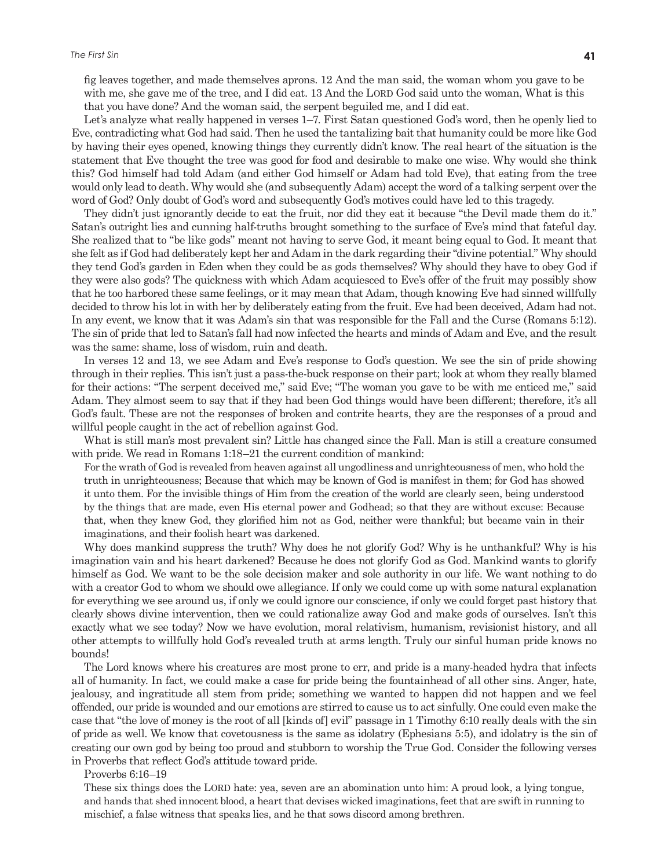fig leaves together, and made themselves aprons. 12 And the man said, the woman whom you gave to be with me, she gave me of the tree, and I did eat. 13 And the LORD God said unto the woman, What is this that you have done? And the woman said, the serpent beguiled me, and I did eat.

Let's analyze what really happened in verses 1–7. First Satan questioned God's word, then he openly lied to Eve, contradicting what God had said. Then he used the tantalizing bait that humanity could be more like God by having their eyes opened, knowing things they currently didn't know. The real heart of the situation is the statement that Eve thought the tree was good for food and desirable to make one wise. Why would she think this? God himself had told Adam (and either God himself or Adam had told Eve), that eating from the tree would only lead to death. Why would she (and subsequently Adam) accept the word of a talking serpent over the word of God? Only doubt of God's word and subsequently God's motives could have led to this tragedy.

They didn't just ignorantly decide to eat the fruit, nor did they eat it because "the Devil made them do it." Satan's outright lies and cunning half-truths brought something to the surface of Eve's mind that fateful day. She realized that to "be like gods" meant not having to serve God, it meant being equal to God. It meant that she felt as if God had deliberately kept her and Adam in the dark regarding their "divine potential." Why should they tend God's garden in Eden when they could be as gods themselves? Why should they have to obey God if they were also gods? The quickness with which Adam acquiesced to Eve's offer of the fruit may possibly show that he too harbored these same feelings, or it may mean that Adam, though knowing Eve had sinned willfully decided to throw his lot in with her by deliberately eating from the fruit. Eve had been deceived, Adam had not. In any event, we know that it was Adam's sin that was responsible for the Fall and the Curse (Romans 5:12). The sin of pride that led to Satan's fall had now infected the hearts and minds of Adam and Eve, and the result was the same: shame, loss of wisdom, ruin and death.

In verses 12 and 13, we see Adam and Eve's response to God's question. We see the sin of pride showing through in their replies. This isn't just a pass-the-buck response on their part; look at whom they really blamed for their actions: "The serpent deceived me," said Eve; "The woman you gave to be with me enticed me," said Adam. They almost seem to say that if they had been God things would have been different; therefore, it's all God's fault. These are not the responses of broken and contrite hearts, they are the responses of a proud and willful people caught in the act of rebellion against God.

What is still man's most prevalent sin? Little has changed since the Fall. Man is still a creature consumed with pride. We read in Romans 1:18–21 the current condition of mankind:

For the wrath of God is revealed from heaven against all ungodliness and unrighteousness of men, who hold the truth in unrighteousness; Because that which may be known of God is manifest in them; for God has showed it unto them. For the invisible things of Him from the creation of the world are clearly seen, being understood by the things that are made, even His eternal power and Godhead; so that they are without excuse: Because that, when they knew God, they glorified him not as God, neither were thankful; but became vain in their imaginations, and their foolish heart was darkened.

Why does mankind suppress the truth? Why does he not glorify God? Why is he unthankful? Why is his imagination vain and his heart darkened? Because he does not glorify God as God. Mankind wants to glorify himself as God. We want to be the sole decision maker and sole authority in our life. We want nothing to do with a creator God to whom we should owe allegiance. If only we could come up with some natural explanation for everything we see around us, if only we could ignore our conscience, if only we could forget past history that clearly shows divine intervention, then we could rationalize away God and make gods of ourselves. Isn't this exactly what we see today? Now we have evolution, moral relativism, humanism, revisionist history, and all other attempts to willfully hold God's revealed truth at arms length. Truly our sinful human pride knows no bounds!

The Lord knows where his creatures are most prone to err, and pride is a many-headed hydra that infects all of humanity. In fact, we could make a case for pride being the fountainhead of all other sins. Anger, hate, jealousy, and ingratitude all stem from pride; something we wanted to happen did not happen and we feel offended, our pride is wounded and our emotions are stirred to cause us to act sinfully. One could even make the case that "the love of money is the root of all [kinds of] evil" passage in 1 Timothy 6:10 really deals with the sin of pride as well. We know that covetousness is the same as idolatry (Ephesians 5:5), and idolatry is the sin of creating our own god by being too proud and stubborn to worship the True God. Consider the following verses in Proverbs that reflect God's attitude toward pride.

Proverbs 6:16–19

These six things does the LORD hate: yea, seven are an abomination unto him: A proud look, a lying tongue, and hands that shed innocent blood, a heart that devises wicked imaginations, feet that are swift in running to mischief, a false witness that speaks lies, and he that sows discord among brethren.